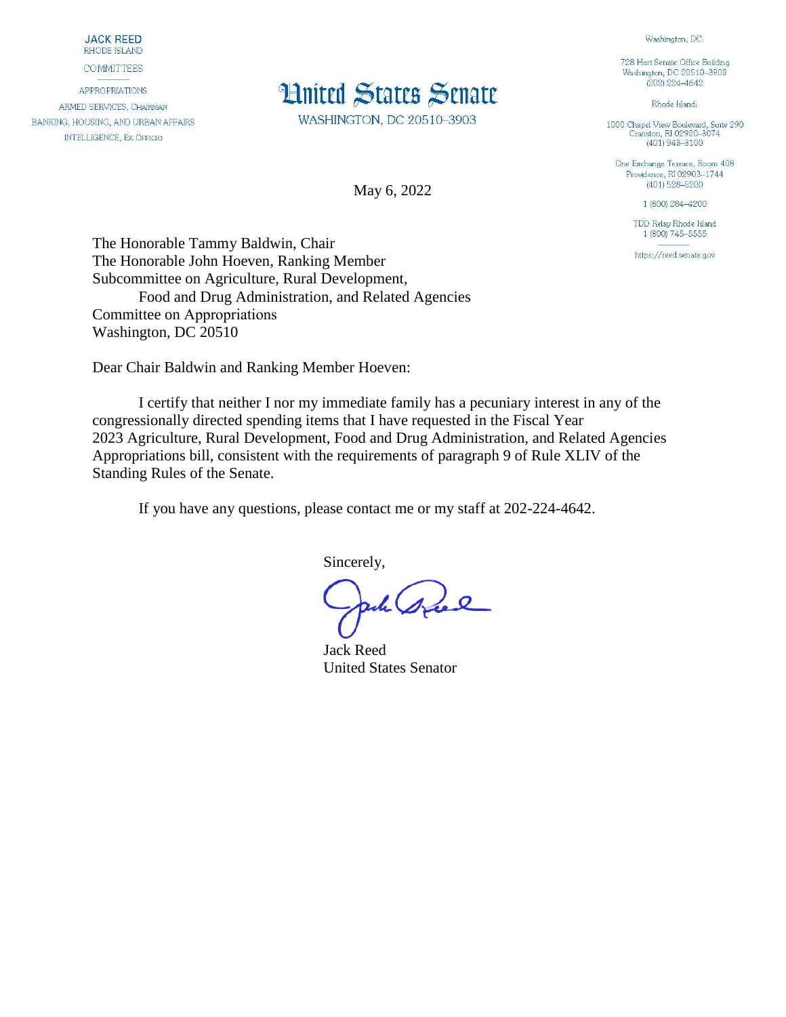**JACK REED** RHODE ISLAND

**COMMITTEES** 

**APPROPRIATIONS** ARMED SERVICES, CHAIRMAN BANKING, HOUSING, AND URBAN AFFAIRS **INTELLIGENCE, EX OFFICIO** 

## **Hnited States Senate**

WASHINGTON, DC 20510-3903

May 6, 2022

Washington, DC: 728 Hart Senate Office Building Washington, DC 20510-3903  $(202)$  224-4642

Rhode Island:

1000 Chapel View Boulevard, Suite 290<br>Cranston, RI 02920-3074  $(401)$  943-3100

One Exchange Terrace, Room 408 Providence, RI 02903-1744  $(401)$  528-5200

1 (800) 284-4200

TDD Relay Rhode Island 1 (800) 745-5555

https://reed.senate.gov

The Honorable Tammy Baldwin, Chair The Honorable John Hoeven, Ranking Member Subcommittee on Agriculture, Rural Development, Food and Drug Administration, and Related Agencies Committee on Appropriations Washington, DC 20510

Dear Chair Baldwin and Ranking Member Hoeven:

I certify that neither I nor my immediate family has a pecuniary interest in any of the congressionally directed spending items that I have requested in the Fiscal Year 2023 Agriculture, Rural Development, Food and Drug Administration, and Related Agencies Appropriations bill, consistent with the requirements of paragraph 9 of Rule XLIV of the Standing Rules of the Senate.

If you have any questions, please contact me or my staff at 202-224-4642.

Sincerely,

wh speed

Jack Reed United States Senator